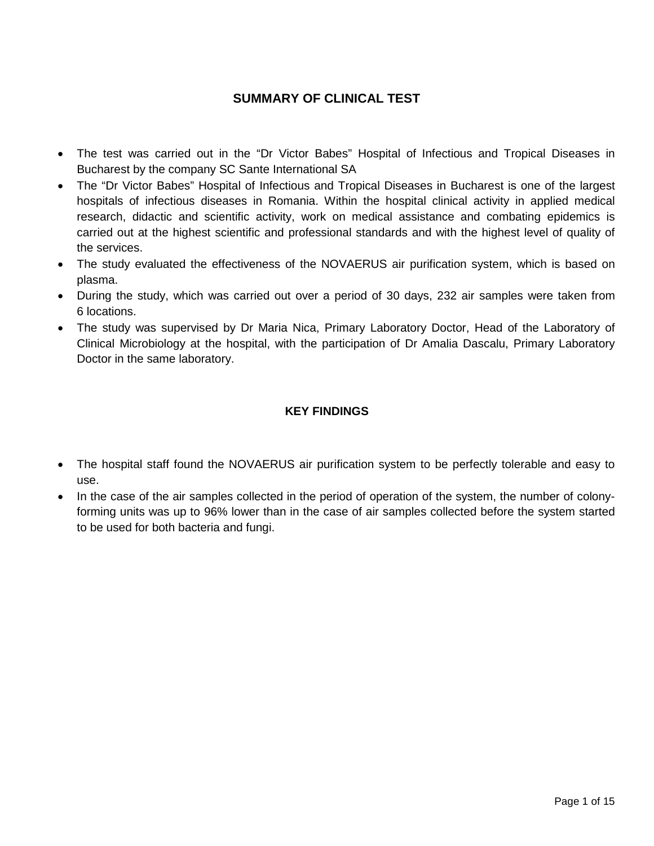## **SUMMARY OF CLINICAL TEST**

- The test was carried out in the "Dr Victor Babes" Hospital of Infectious and Tropical Diseases in Bucharest by the company SC Sante International SA
- The "Dr Victor Babes" Hospital of Infectious and Tropical Diseases in Bucharest is one of the largest hospitals of infectious diseases in Romania. Within the hospital clinical activity in applied medical research, didactic and scientific activity, work on medical assistance and combating epidemics is carried out at the highest scientific and professional standards and with the highest level of quality of the services.
- The study evaluated the effectiveness of the NOVAERUS air purification system, which is based on plasma.
- During the study, which was carried out over a period of 30 days, 232 air samples were taken from 6 locations.
- The study was supervised by Dr Maria Nica, Primary Laboratory Doctor, Head of the Laboratory of Clinical Microbiology at the hospital, with the participation of Dr Amalia Dascalu, Primary Laboratory Doctor in the same laboratory.

### **KEY FINDINGS**

- The hospital staff found the NOVAERUS air purification system to be perfectly tolerable and easy to use.
- In the case of the air samples collected in the period of operation of the system, the number of colonyforming units was up to 96% lower than in the case of air samples collected before the system started to be used for both bacteria and fungi.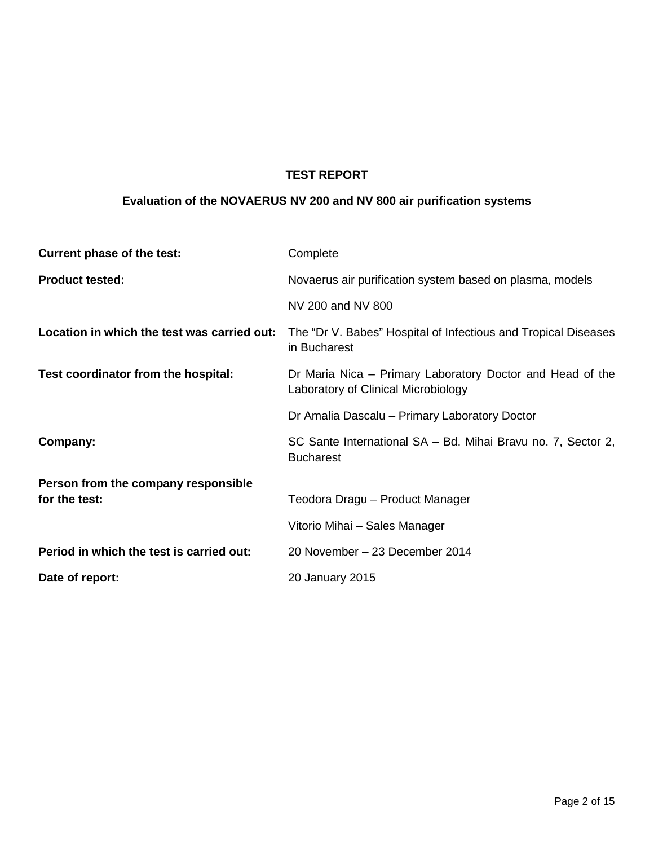# **TEST REPORT**

## **Evaluation of the NOVAERUS NV 200 and NV 800 air purification systems**

| Current phase of the test:                  | Complete                                                                                         |
|---------------------------------------------|--------------------------------------------------------------------------------------------------|
| <b>Product tested:</b>                      | Novaerus air purification system based on plasma, models                                         |
|                                             | NV 200 and NV 800                                                                                |
| Location in which the test was carried out: | The "Dr V. Babes" Hospital of Infectious and Tropical Diseases<br>in Bucharest                   |
| Test coordinator from the hospital:         | Dr Maria Nica – Primary Laboratory Doctor and Head of the<br>Laboratory of Clinical Microbiology |
|                                             | Dr Amalia Dascalu - Primary Laboratory Doctor                                                    |
| Company:                                    | SC Sante International SA - Bd. Mihai Bravu no. 7, Sector 2,<br><b>Bucharest</b>                 |
| Person from the company responsible         |                                                                                                  |
| for the test:                               | Teodora Dragu - Product Manager                                                                  |
|                                             | Vitorio Mihai - Sales Manager                                                                    |
| Period in which the test is carried out:    | 20 November - 23 December 2014                                                                   |
| Date of report:                             | 20 January 2015                                                                                  |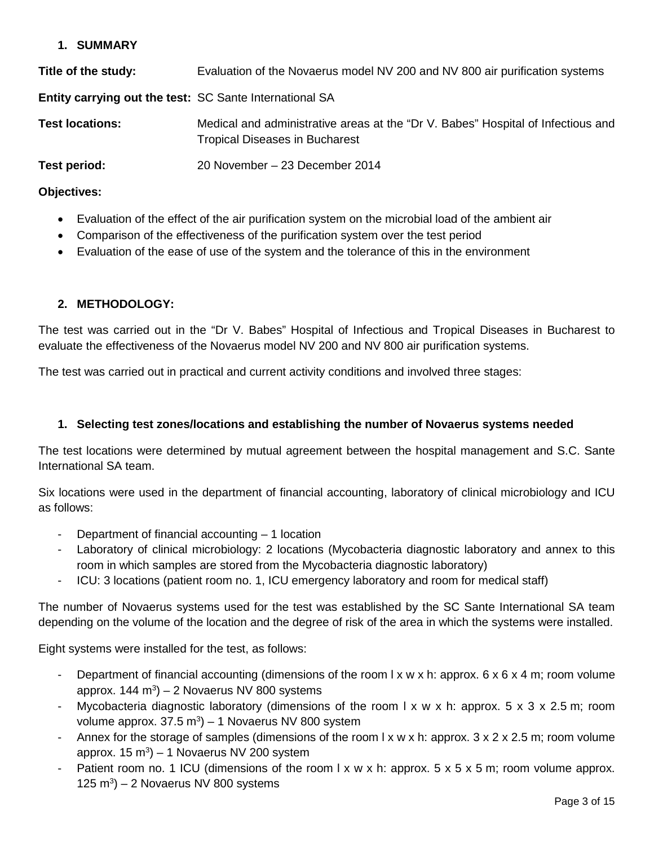#### **1. SUMMARY**

| Title of the study:                                            | Evaluation of the Novaerus model NV 200 and NV 800 air purification systems                                               |
|----------------------------------------------------------------|---------------------------------------------------------------------------------------------------------------------------|
| <b>Entity carrying out the test: SC Sante International SA</b> |                                                                                                                           |
| <b>Test locations:</b>                                         | Medical and administrative areas at the "Dr V. Babes" Hospital of Infectious and<br><b>Tropical Diseases in Bucharest</b> |
| Test period:                                                   | 20 November - 23 December 2014                                                                                            |

#### **Objectives:**

- Evaluation of the effect of the air purification system on the microbial load of the ambient air
- Comparison of the effectiveness of the purification system over the test period
- Evaluation of the ease of use of the system and the tolerance of this in the environment

#### **2. METHODOLOGY:**

The test was carried out in the "Dr V. Babes" Hospital of Infectious and Tropical Diseases in Bucharest to evaluate the effectiveness of the Novaerus model NV 200 and NV 800 air purification systems.

The test was carried out in practical and current activity conditions and involved three stages:

#### **1. Selecting test zones/locations and establishing the number of Novaerus systems needed**

The test locations were determined by mutual agreement between the hospital management and S.C. Sante International SA team.

Six locations were used in the department of financial accounting, laboratory of clinical microbiology and ICU as follows:

- Department of financial accounting  $-1$  location
- Laboratory of clinical microbiology: 2 locations (Mycobacteria diagnostic laboratory and annex to this room in which samples are stored from the Mycobacteria diagnostic laboratory)
- ICU: 3 locations (patient room no. 1, ICU emergency laboratory and room for medical staff)

The number of Novaerus systems used for the test was established by the SC Sante International SA team depending on the volume of the location and the degree of risk of the area in which the systems were installed.

Eight systems were installed for the test, as follows:

- Department of financial accounting (dimensions of the room  $l \times w \times h$ : approx. 6  $\times$  6  $\times$  4 m; room volume approx. 144 m $3$ ) – 2 Novaerus NV 800 systems
- Mycobacteria diagnostic laboratory (dimensions of the room  $l \times w \times h$ : approx. 5 x 3 x 2.5 m; room volume approx.  $37.5 \text{ m}^3$ ) – 1 Novaerus NV 800 system
- Annex for the storage of samples (dimensions of the room  $l \times w \times h$ : approx.  $3 \times 2 \times 2.5$  m; room volume approx. 15 m<sup>3</sup>) – 1 Novaerus NV 200 system
- Patient room no. 1 ICU (dimensions of the room  $l \times w \times h$ : approx. 5 x 5 x 5 m; room volume approx. 125 m<sup>3</sup>) – 2 Novaerus NV 800 systems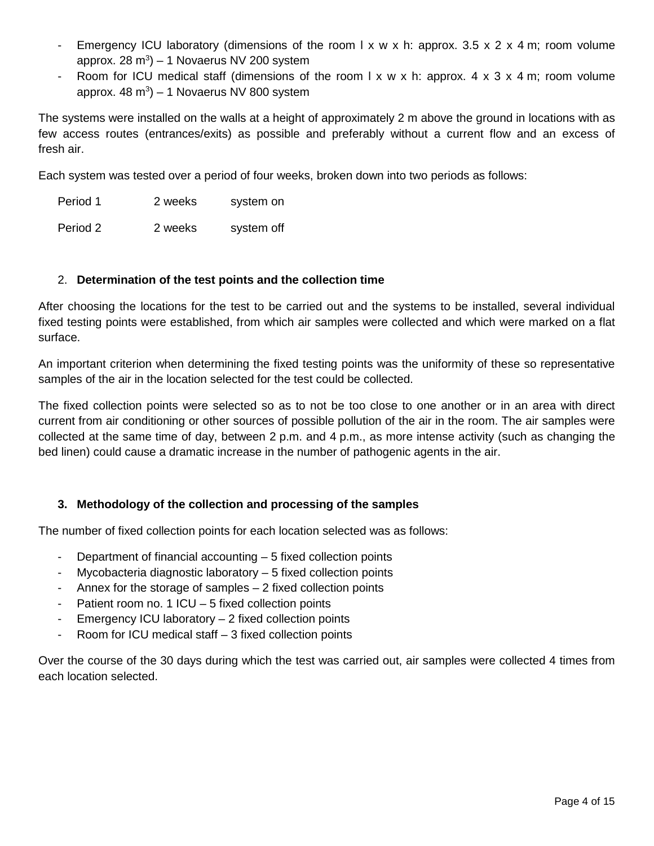- Emergency ICU laboratory (dimensions of the room l x w x h: approx. 3.5 x 2 x 4 m; room volume approx. 28 m<sup>3</sup>) – 1 Novaerus NV 200 system
- Room for ICU medical staff (dimensions of the room  $x \wedge y \times x$  h: approx.  $4 \times 3 \times 4$  m; room volume approx.  $48 \text{ m}^3$ ) – 1 Novaerus NV 800 system

The systems were installed on the walls at a height of approximately 2 m above the ground in locations with as few access routes (entrances/exits) as possible and preferably without a current flow and an excess of fresh air.

Each system was tested over a period of four weeks, broken down into two periods as follows:

Period 1 2 weeks system on Period 2 2 weeks system off

#### 2. **Determination of the test points and the collection time**

After choosing the locations for the test to be carried out and the systems to be installed, several individual fixed testing points were established, from which air samples were collected and which were marked on a flat surface.

An important criterion when determining the fixed testing points was the uniformity of these so representative samples of the air in the location selected for the test could be collected.

The fixed collection points were selected so as to not be too close to one another or in an area with direct current from air conditioning or other sources of possible pollution of the air in the room. The air samples were collected at the same time of day, between 2 p.m. and 4 p.m., as more intense activity (such as changing the bed linen) could cause a dramatic increase in the number of pathogenic agents in the air.

### **3. Methodology of the collection and processing of the samples**

The number of fixed collection points for each location selected was as follows:

- Department of financial accounting  $-5$  fixed collection points
- Mycobacteria diagnostic laboratory  $-5$  fixed collection points
- Annex for the storage of samples  $-2$  fixed collection points
- Patient room no. 1 ICU 5 fixed collection points
- Emergency ICU laboratory  $2$  fixed collection points
- Room for ICU medical staff 3 fixed collection points

Over the course of the 30 days during which the test was carried out, air samples were collected 4 times from each location selected.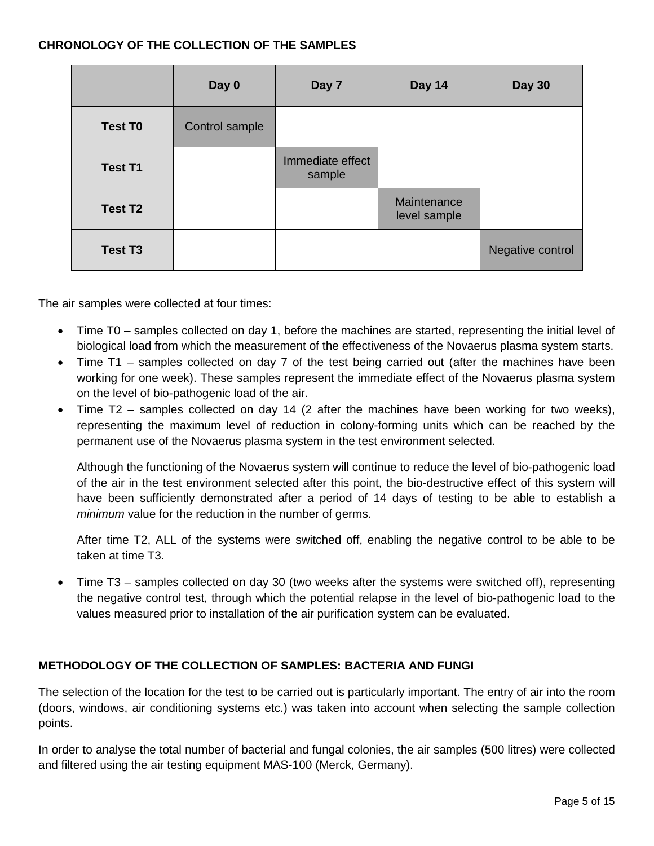#### **CHRONOLOGY OF THE COLLECTION OF THE SAMPLES**

|                     | Day 0          | Day 7                      | Day 14                      | <b>Day 30</b>    |
|---------------------|----------------|----------------------------|-----------------------------|------------------|
| <b>Test T0</b>      | Control sample |                            |                             |                  |
| <b>Test T1</b>      |                | Immediate effect<br>sample |                             |                  |
| Test T <sub>2</sub> |                |                            | Maintenance<br>level sample |                  |
| <b>Test T3</b>      |                |                            |                             | Negative control |

The air samples were collected at four times:

- Time T0 samples collected on day 1, before the machines are started, representing the initial level of biological load from which the measurement of the effectiveness of the Novaerus plasma system starts.
- Time T1 samples collected on day 7 of the test being carried out (after the machines have been working for one week). These samples represent the immediate effect of the Novaerus plasma system on the level of bio-pathogenic load of the air.
- Time T2 samples collected on day 14 (2 after the machines have been working for two weeks), representing the maximum level of reduction in colony-forming units which can be reached by the permanent use of the Novaerus plasma system in the test environment selected.

Although the functioning of the Novaerus system will continue to reduce the level of bio-pathogenic load of the air in the test environment selected after this point, the bio-destructive effect of this system will have been sufficiently demonstrated after a period of 14 days of testing to be able to establish a *minimum* value for the reduction in the number of germs.

After time T2, ALL of the systems were switched off, enabling the negative control to be able to be taken at time T3.

• Time T3 – samples collected on day 30 (two weeks after the systems were switched off), representing the negative control test, through which the potential relapse in the level of bio-pathogenic load to the values measured prior to installation of the air purification system can be evaluated.

### **METHODOLOGY OF THE COLLECTION OF SAMPLES: BACTERIA AND FUNGI**

The selection of the location for the test to be carried out is particularly important. The entry of air into the room (doors, windows, air conditioning systems etc.) was taken into account when selecting the sample collection points.

In order to analyse the total number of bacterial and fungal colonies, the air samples (500 litres) were collected and filtered using the air testing equipment MAS-100 (Merck, Germany).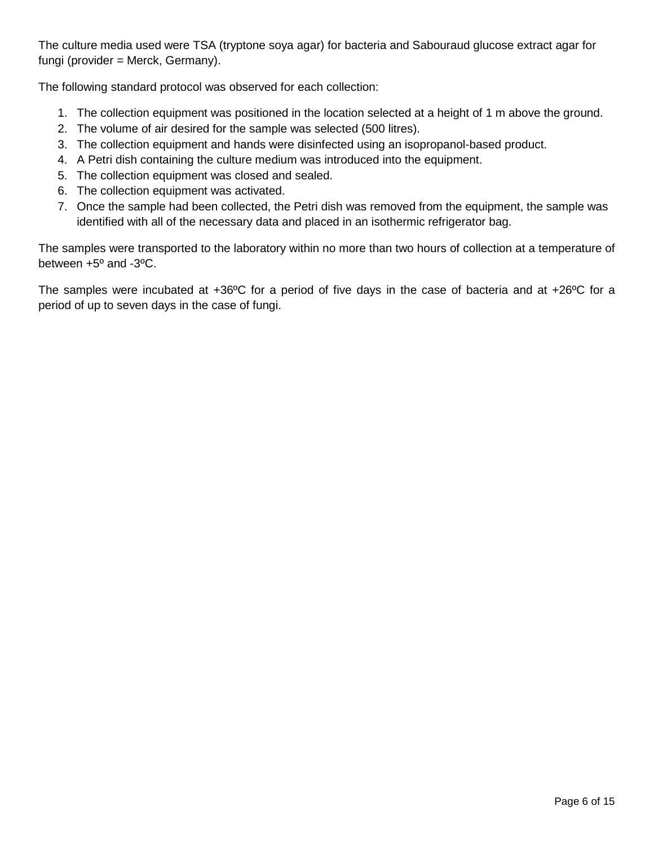The culture media used were TSA (tryptone soya agar) for bacteria and Sabouraud glucose extract agar for fungi (provider = Merck, Germany).

The following standard protocol was observed for each collection:

- 1. The collection equipment was positioned in the location selected at a height of 1 m above the ground.
- 2. The volume of air desired for the sample was selected (500 litres).
- 3. The collection equipment and hands were disinfected using an isopropanol-based product.
- 4. A Petri dish containing the culture medium was introduced into the equipment.
- 5. The collection equipment was closed and sealed.
- 6. The collection equipment was activated.
- 7. Once the sample had been collected, the Petri dish was removed from the equipment, the sample was identified with all of the necessary data and placed in an isothermic refrigerator bag.

The samples were transported to the laboratory within no more than two hours of collection at a temperature of between +5º and -3ºC.

The samples were incubated at +36ºC for a period of five days in the case of bacteria and at +26ºC for a period of up to seven days in the case of fungi.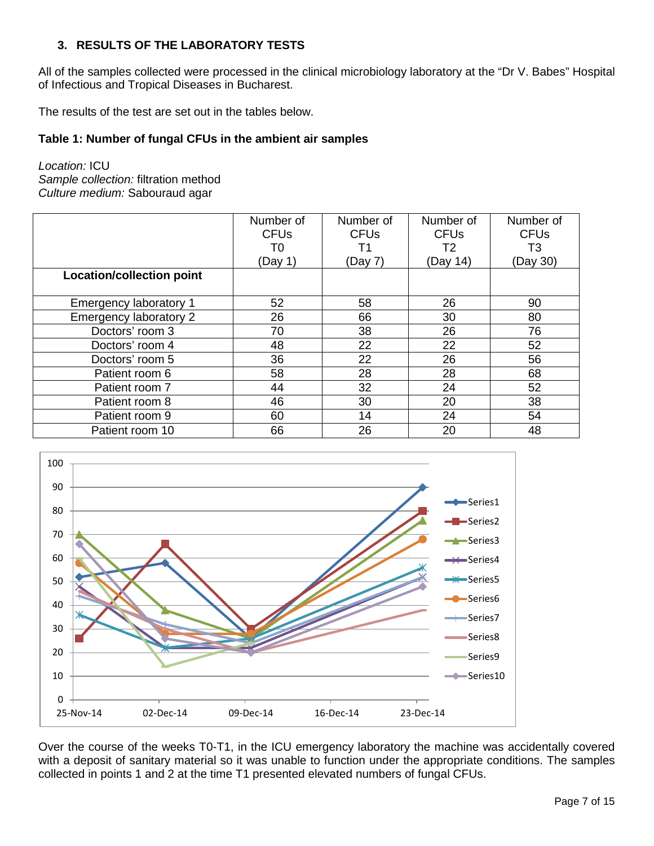### **3. RESULTS OF THE LABORATORY TESTS**

All of the samples collected were processed in the clinical microbiology laboratory at the "Dr V. Babes" Hospital of Infectious and Tropical Diseases in Bucharest.

The results of the test are set out in the tables below.

#### **Table 1: Number of fungal CFUs in the ambient air samples**

*Location:* ICU *Sample collection:* filtration method *Culture medium:* Sabouraud agar

|                                  | Number of<br><b>CFU<sub>s</sub></b> | Number of<br><b>CFU<sub>s</sub></b> | Number of<br><b>CFU<sub>s</sub></b> | Number of<br><b>CFU<sub>s</sub></b> |
|----------------------------------|-------------------------------------|-------------------------------------|-------------------------------------|-------------------------------------|
|                                  | T0                                  | Τ1                                  | T2                                  | T3                                  |
|                                  | (Day 1)                             | (Day 7)                             | (Day 14)                            | (Day 30)                            |
| <b>Location/collection point</b> |                                     |                                     |                                     |                                     |
|                                  |                                     |                                     |                                     |                                     |
| Emergency laboratory 1           | 52                                  | 58                                  | 26                                  | 90                                  |
| Emergency laboratory 2           | 26                                  | 66                                  | 30                                  | 80                                  |
| Doctors' room 3                  | 70                                  | 38                                  | 26                                  | 76                                  |
| Doctors' room 4                  | 48                                  | 22                                  | 22                                  | 52                                  |
| Doctors' room 5                  | 36                                  | 22                                  | 26                                  | 56                                  |
| Patient room 6                   | 58                                  | 28                                  | 28                                  | 68                                  |
| Patient room 7                   | 44                                  | 32                                  | 24                                  | 52                                  |
| Patient room 8                   | 46                                  | 30                                  | 20                                  | 38                                  |
| Patient room 9                   | 60                                  | 14                                  | 24                                  | 54                                  |
| Patient room 10                  | 66                                  | 26                                  | 20                                  | 48                                  |



Over the course of the weeks T0-T1, in the ICU emergency laboratory the machine was accidentally covered with a deposit of sanitary material so it was unable to function under the appropriate conditions. The samples collected in points 1 and 2 at the time T1 presented elevated numbers of fungal CFUs.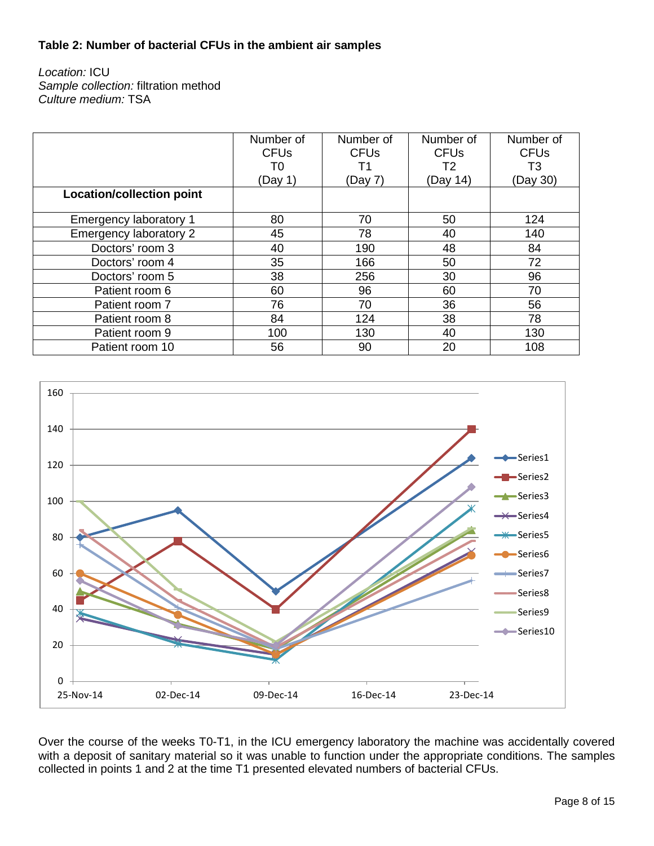#### **Table 2: Number of bacterial CFUs in the ambient air samples**

*Location:* ICU *Sample collection:* filtration method *Culture medium:* TSA

|                                  | Number of<br><b>CFU<sub>s</sub></b> | Number of<br><b>CFU<sub>s</sub></b> | Number of<br><b>CFU<sub>s</sub></b> | Number of<br><b>CFU<sub>s</sub></b> |
|----------------------------------|-------------------------------------|-------------------------------------|-------------------------------------|-------------------------------------|
|                                  | T0                                  | Τ1                                  | T2                                  | T3                                  |
| <b>Location/collection point</b> | (Day 1)                             | (Day 7)                             | (Day 14)                            | (Day 30)                            |
|                                  |                                     |                                     |                                     |                                     |
| Emergency laboratory 1           | 80                                  | 70                                  | 50                                  | 124                                 |
| Emergency laboratory 2           | 45                                  | 78                                  | 40                                  | 140                                 |
| Doctors' room 3                  | 40                                  | 190                                 | 48                                  | 84                                  |
| Doctors' room 4                  | 35                                  | 166                                 | 50                                  | 72                                  |
| Doctors' room 5                  | 38                                  | 256                                 | 30                                  | 96                                  |
| Patient room 6                   | 60                                  | 96                                  | 60                                  | 70                                  |
| Patient room 7                   | 76                                  | 70                                  | 36                                  | 56                                  |
| Patient room 8                   | 84                                  | 124                                 | 38                                  | 78                                  |
| Patient room 9                   | 100                                 | 130                                 | 40                                  | 130                                 |
| Patient room 10                  | 56                                  | 90                                  | 20                                  | 108                                 |



Over the course of the weeks T0-T1, in the ICU emergency laboratory the machine was accidentally covered with a deposit of sanitary material so it was unable to function under the appropriate conditions. The samples collected in points 1 and 2 at the time T1 presented elevated numbers of bacterial CFUs.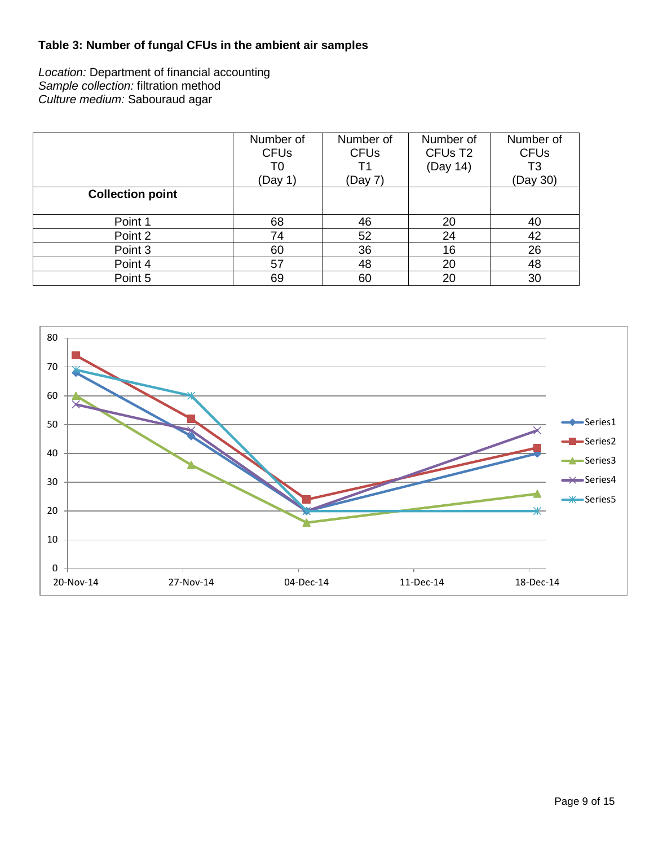## **Table 3: Number of fungal CFUs in the ambient air samples**

*Location:* Department of financial accounting *Sample collection:* filtration method *Culture medium:* Sabouraud agar

|                         | Number of<br><b>CFUs</b><br>T0 | Number of<br><b>CFUs</b><br>Τ1 | Number of<br>CFU <sub>s</sub> T <sub>2</sub><br>(Day 14) | Number of<br><b>CFUs</b><br>T3 |
|-------------------------|--------------------------------|--------------------------------|----------------------------------------------------------|--------------------------------|
|                         | (Day 1)                        | (Day 7)                        |                                                          | (Day 30)                       |
| <b>Collection point</b> |                                |                                |                                                          |                                |
|                         |                                |                                |                                                          |                                |
| Point 1                 | 68                             | 46                             | 20                                                       | 40                             |
| Point 2                 | 74                             | 52                             | 24                                                       | 42                             |
| Point 3                 | 60                             | 36                             | 16                                                       | 26                             |
| Point 4                 | 57                             | 48                             | 20                                                       | 48                             |
| Point 5                 | 69                             | 60                             | 20                                                       | 30                             |

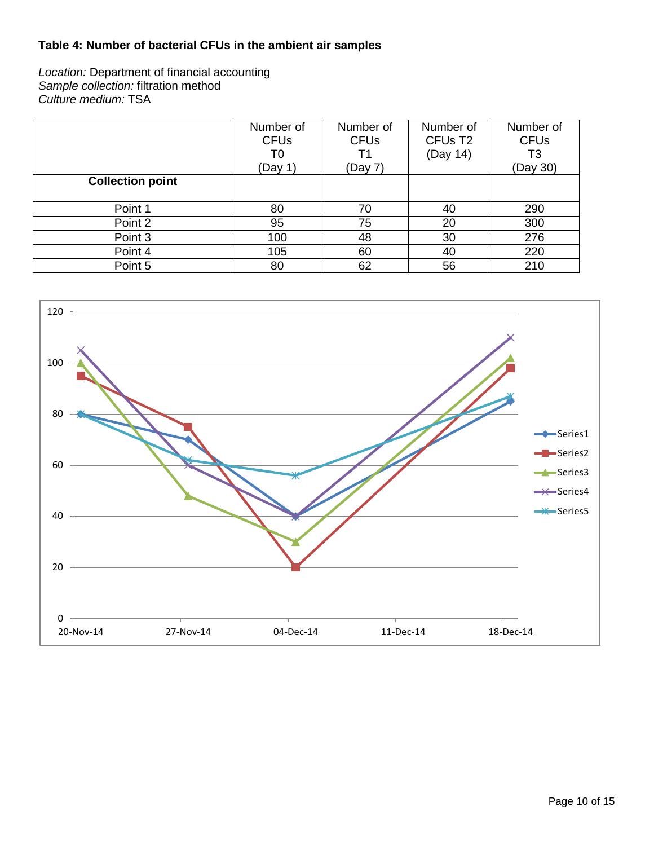### **Table 4: Number of bacterial CFUs in the ambient air samples**

*Location:* Department of financial accounting *Sample collection:* filtration method *Culture medium:* TSA

|                         | Number of<br><b>CFUs</b><br>T0<br>(Day 1) | Number of<br><b>CFUs</b><br>Τ1<br>(Day 7) | Number of<br>CFU <sub>s</sub> T <sub>2</sub><br>(Day 14) | Number of<br><b>CFUs</b><br>T3<br>(Day 30) |
|-------------------------|-------------------------------------------|-------------------------------------------|----------------------------------------------------------|--------------------------------------------|
| <b>Collection point</b> |                                           |                                           |                                                          |                                            |
| Point 1                 | 80                                        | 70                                        | 40                                                       | 290                                        |
| Point 2                 | 95                                        | 75                                        | 20                                                       | 300                                        |
| Point 3                 | 100                                       | 48                                        | 30                                                       | 276                                        |
| Point 4                 | 105                                       | 60                                        | 40                                                       | 220                                        |
| Point 5                 | 80                                        | 62                                        | 56                                                       | 210                                        |

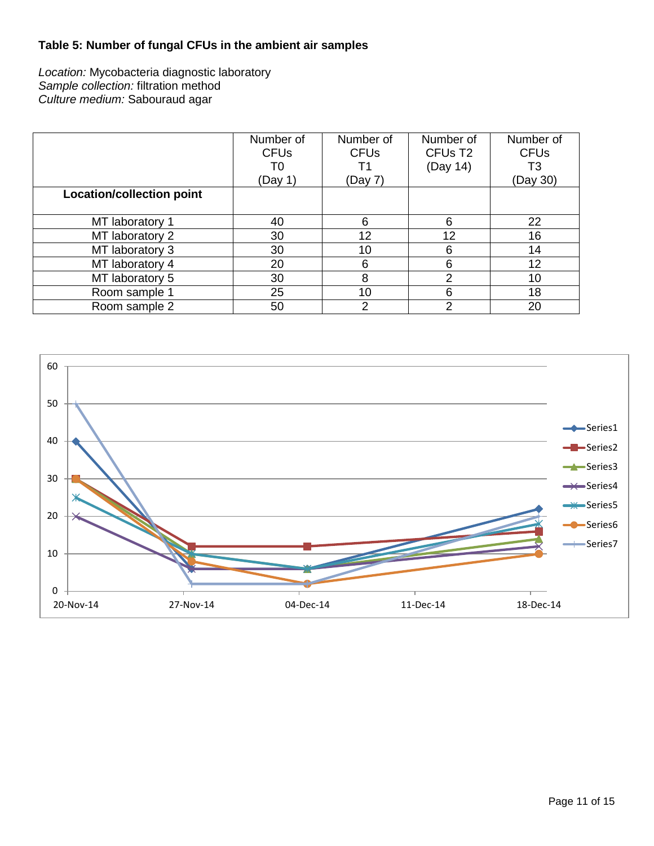## **Table 5: Number of fungal CFUs in the ambient air samples**

*Location:* Mycobacteria diagnostic laboratory *Sample collection:* filtration method *Culture medium:* Sabouraud agar

|                                  | Number of<br><b>CFUs</b> | Number of<br><b>CFUs</b> | Number of<br>CFU <sub>s</sub> T <sub>2</sub> | Number of<br><b>CFUs</b> |
|----------------------------------|--------------------------|--------------------------|----------------------------------------------|--------------------------|
|                                  | T0                       |                          | (Day 14)                                     | T3                       |
|                                  | (Day 1)                  | (Day 7)                  |                                              | (Day 30)                 |
| <b>Location/collection point</b> |                          |                          |                                              |                          |
|                                  |                          |                          |                                              |                          |
| MT laboratory 1                  | 40                       | 6                        | 6                                            | 22                       |
| MT laboratory 2                  | 30                       | 12                       | 12                                           | 16                       |
| MT laboratory 3                  | 30                       | 10                       | 6                                            | 14                       |
| MT laboratory 4                  | 20                       | 6                        | 6                                            | 12                       |
| MT laboratory 5                  | 30                       | 8                        | っ                                            | 10                       |
| Room sample 1                    | 25                       | 10                       | 6                                            | 18                       |
| Room sample 2                    | 50                       | 2                        | っ                                            | 20                       |

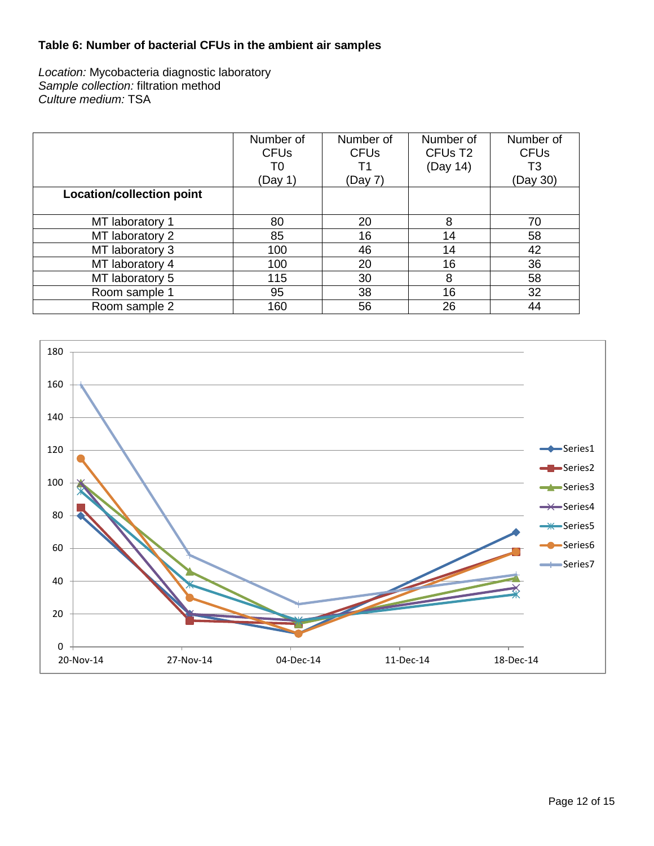### **Table 6: Number of bacterial CFUs in the ambient air samples**

*Location:* Mycobacteria diagnostic laboratory *Sample collection:* filtration method *Culture medium:* TSA

|                                  | Number of<br><b>CFU<sub>s</sub></b> | Number of<br><b>CFU<sub>s</sub></b> | Number of<br>CFU <sub>s</sub> T <sub>2</sub> | Number of<br><b>CFUs</b> |
|----------------------------------|-------------------------------------|-------------------------------------|----------------------------------------------|--------------------------|
|                                  | T0                                  | Τ1                                  | (Day 14)                                     | T3                       |
|                                  | (Day 1)                             | (Day 7)                             |                                              | (Day 30)                 |
| <b>Location/collection point</b> |                                     |                                     |                                              |                          |
|                                  |                                     |                                     |                                              |                          |
| MT laboratory 1                  | 80                                  | 20                                  | 8                                            | 70                       |
| MT laboratory 2                  | 85                                  | 16                                  | 14                                           | 58                       |
| MT laboratory 3                  | 100                                 | 46                                  | 14                                           | 42                       |
| MT laboratory 4                  | 100                                 | 20                                  | 16                                           | 36                       |
| MT laboratory 5                  | 115                                 | 30                                  | 8                                            | 58                       |
| Room sample 1                    | 95                                  | 38                                  | 16                                           | 32                       |
| Room sample 2                    | 160                                 | 56                                  | 26                                           | 44                       |

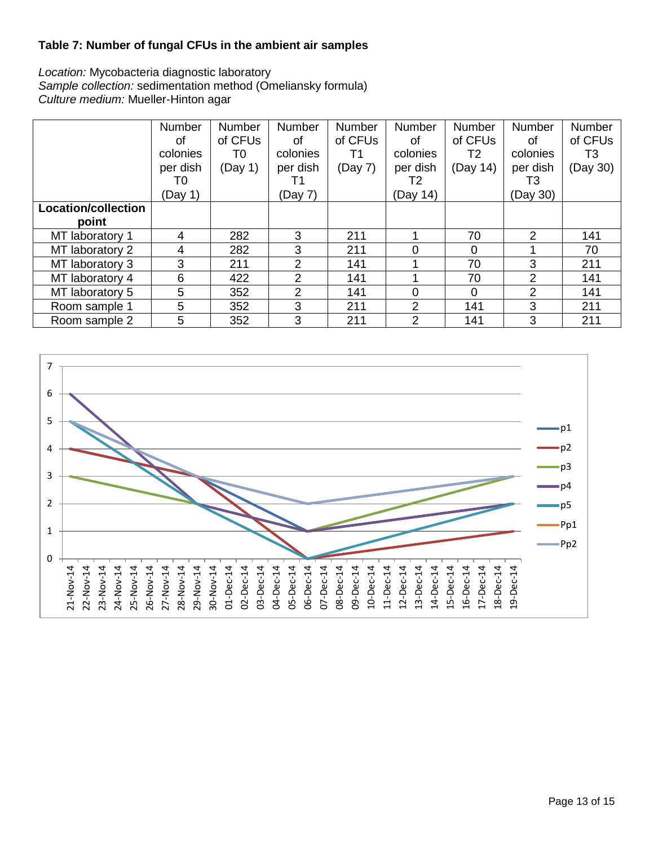### **Table 7: Number of fungal CFUs in the ambient air samples**

*Location:* Mycobacteria diagnostic laboratory *Sample collection:* sedimentation method (Omeliansky formula) *Culture medium:* Mueller-Hinton agar

|                     | <b>Number</b> | Number  | <b>Number</b> | <b>Number</b> | <b>Number</b> | <b>Number</b> | <b>Number</b> | <b>Number</b> |
|---------------------|---------------|---------|---------------|---------------|---------------|---------------|---------------|---------------|
|                     | Ωf            | of CFUs | Ωf            | of CFUs       | of            | of CFUs       | 0f            | of CFUs       |
|                     | colonies      | T0      | colonies      | Τ1            | colonies      | T2            | colonies      | T3            |
|                     | per dish      | (Day 1) | per dish      | (Day 7)       | per dish      | (Day 14)      | per dish      | (Day 30)      |
|                     | T0            |         | Τ1            |               | T2            |               | T3            |               |
|                     | (Day 1)       |         | (Day 7)       |               | (Day 14)      |               | (Day 30)      |               |
| Location/collection |               |         |               |               |               |               |               |               |
| point               |               |         |               |               |               |               |               |               |
| MT laboratory 1     | 4             | 282     | 3             | 211           |               | 70            | 2             | 141           |
| MT laboratory 2     | 4             | 282     | 3             | 211           | 0             | 0             |               | 70            |
| MT laboratory 3     | 3             | 211     | 2             | 141           |               | 70            | 3             | 211           |
| MT laboratory 4     | 6             | 422     | 2             | 141           |               | 70            | 2             | 141           |
| MT laboratory 5     | 5             | 352     | 2             | 141           | $\Omega$      | $\Omega$      | 2             | 141           |
| Room sample 1       | 5             | 352     | 3             | 211           | 2             | 141           | 3             | 211           |
| Room sample 2       | 5             | 352     | 3             | 211           | 2             | 141           | 3             | 211           |

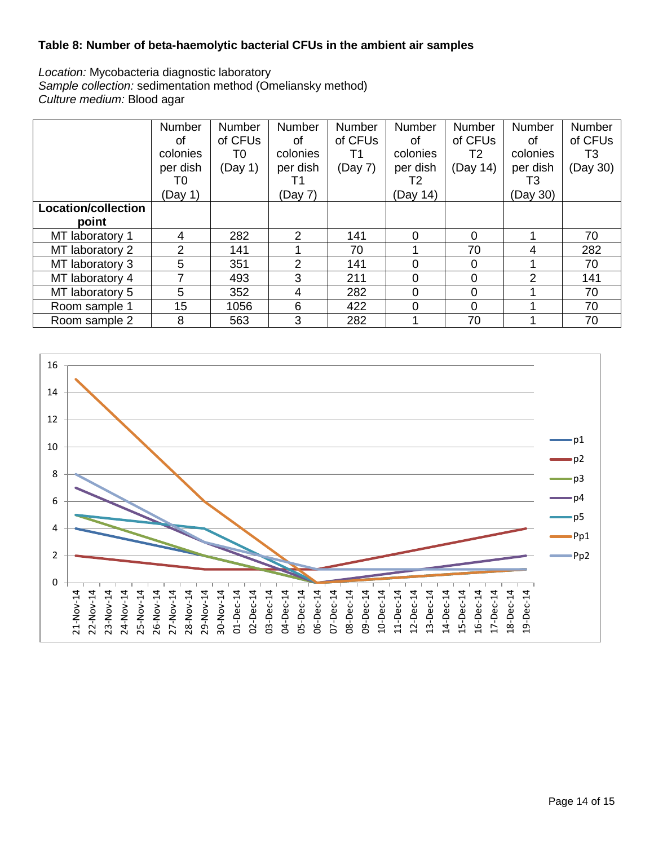### **Table 8: Number of beta-haemolytic bacterial CFUs in the ambient air samples**

*Location:* Mycobacteria diagnostic laboratory *Sample collection:* sedimentation method (Omeliansky method) *Culture medium:* Blood agar

|                     | <b>Number</b><br>Ωf | Number<br>of CFUs | Number<br>0f | Number<br>of CFU <sub>s</sub> | <b>Number</b><br>0f | Number<br>of CFUs | <b>Number</b><br>0f | Number<br>of CFUs |
|---------------------|---------------------|-------------------|--------------|-------------------------------|---------------------|-------------------|---------------------|-------------------|
|                     | colonies            | T0                | colonies     | Τ1                            | colonies            | T2                | colonies            | T3                |
|                     | per dish            | (Day 1)           | per dish     | (Day 7)                       | per dish            | (Day 14)          | per dish            | (Day 30)          |
|                     | T0                  |                   | Τ1           |                               | T2                  |                   | T3                  |                   |
|                     | (Day 1)             |                   | (Day 7)      |                               | (Day 14)            |                   | (Day 30)            |                   |
| Location/collection |                     |                   |              |                               |                     |                   |                     |                   |
| point               |                     |                   |              |                               |                     |                   |                     |                   |
| MT laboratory 1     | 4                   | 282               | 2            | 141                           | $\Omega$            | 0                 |                     | 70                |
| MT laboratory 2     | $\overline{2}$      | 141               |              | 70                            |                     | 70                | 4                   | 282               |
| MT laboratory 3     | 5                   | 351               | 2            | 141                           | $\Omega$            | 0                 |                     | 70                |
| MT laboratory 4     |                     | 493               | 3            | 211                           | 0                   | 0                 | 2                   | 141               |
| MT laboratory 5     | 5                   | 352               | 4            | 282                           | $\Omega$            | 0                 |                     | 70                |
| Room sample 1       | 15                  | 1056              | 6            | 422                           | 0                   | 0                 |                     | 70                |
| Room sample 2       | 8                   | 563               | 3            | 282                           |                     | 70                |                     | 70                |